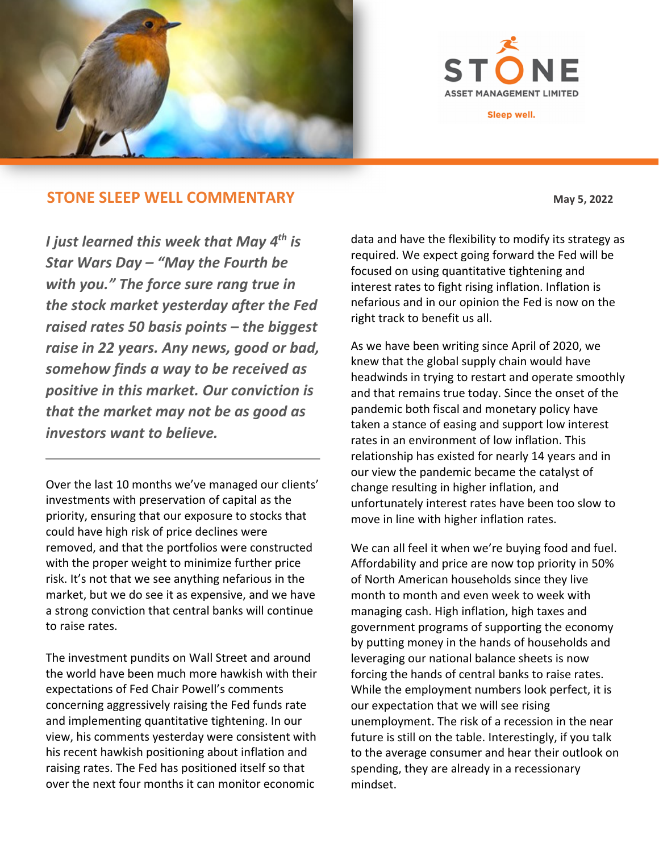

**ASSET MANAGEMENT LIMI** 

Sleep well.

## **STONE SLEEP WELL COMMENTARY** May 5, 2022

*I just learned this week that May 4th is Star Wars Day – "May the Fourth be with you." The force sure rang true in the stock market yesterday after the Fed raised rates 50 basis points – the biggest raise in 22 years. Any news, good or bad, somehow finds a way to be received as positive in this market. Our conviction is that the market may not be as good as investors want to believe.* 

Over the last 10 months we've managed our clients' investments with preservation of capital as the priority, ensuring that our exposure to stocks that could have high risk of price declines were removed, and that the portfolios were constructed with the proper weight to minimize further price risk. It's not that we see anything nefarious in the market, but we do see it as expensive, and we have a strong conviction that central banks will continue to raise rates.

The investment pundits on Wall Street and around the world have been much more hawkish with their expectations of Fed Chair Powell's comments concerning aggressively raising the Fed funds rate and implementing quantitative tightening. In our view, his comments yesterday were consistent with his recent hawkish positioning about inflation and raising rates. The Fed has positioned itself so that over the next four months it can monitor economic

data and have the flexibility to modify its strategy as required. We expect going forward the Fed will be focused on using quantitative tightening and interest rates to fight rising inflation. Inflation is nefarious and in our opinion the Fed is now on the right track to benefit us all.

As we have been writing since April of 2020, we knew that the global supply chain would have headwinds in trying to restart and operate smoothly and that remains true today. Since the onset of the pandemic both fiscal and monetary policy have taken a stance of easing and support low interest rates in an environment of low inflation. This relationship has existed for nearly 14 years and in our view the pandemic became the catalyst of change resulting in higher inflation, and unfortunately interest rates have been too slow to move in line with higher inflation rates.

We can all feel it when we're buying food and fuel. Affordability and price are now top priority in 50% of North American households since they live month to month and even week to week with managing cash. High inflation, high taxes and government programs of supporting the economy by putting money in the hands of households and leveraging our national balance sheets is now forcing the hands of central banks to raise rates. While the employment numbers look perfect, it is our expectation that we will see rising unemployment. The risk of a recession in the near future is still on the table. Interestingly, if you talk to the average consumer and hear their outlook on spending, they are already in a recessionary mindset.